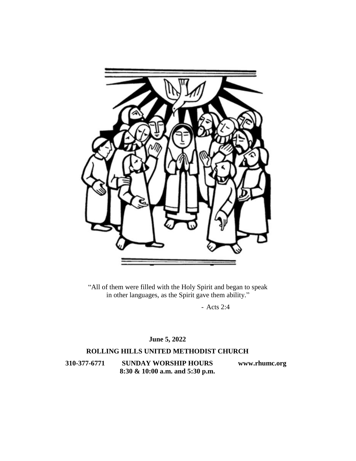

"All of them were filled with the Holy Spirit and began to speak in other languages, as the Spirit gave them ability."

- Acts 2:4

# **June 5, 2022**

# **ROLLING HILLS UNITED METHODIST CHURCH**

**310-377-6771 SUNDAY WORSHIP HOURS [www.rhumc.org](http://www.rhumc.org/) 8:30 & 10:00 a.m. and 5:30 p.m.**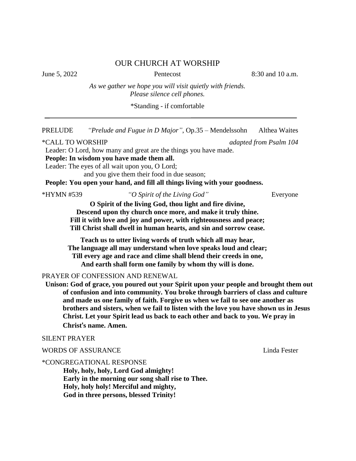# OUR CHURCH AT WORSHIP

June 5, 2022 **Pentecost** 8:30 and 10 a.m.

*As we gather we hope you will visit quietly with friends. Please silence cell phones.*

\*Standing - if comfortable

PRELUDE *"Prelude and Fugue in D Major"*, Op.35 – Mendelssohn Althea Waites

\*CALL TO WORSHIP *adapted from Psalm 104*

Leader: O Lord, how many and great are the things you have made.

 **People: In wisdom you have made them all.**

Leader: The eyes of all wait upon you, O Lord;

and you give them their food in due season;

 **People: You open your hand, and fill all things living with your goodness.**

\*HYMN #539 *"O Spirit of the Living God"* Everyone

**O Spirit of the living God, thou light and fire divine, Descend upon thy church once more, and make it truly thine. Fill it with love and joy and power, with righteousness and peace; Till Christ shall dwell in human hearts, and sin and sorrow cease.**

**Teach us to utter living words of truth which all may hear, The language all may understand when love speaks loud and clear; Till every age and race and clime shall blend their creeds in one, And earth shall form one family by whom thy will is done.**

PRAYER OF CONFESSION AND RENEWAL

 **Unison: God of grace, you poured out your Spirit upon your people and brought them out of confusion and into community. You broke through barriers of class and culture and made us one family of faith. Forgive us when we fail to see one another as brothers and sisters, when we fail to listen with the love you have shown us in Jesus Christ. Let your Spirit lead us back to each other and back to you. We pray in Christ**'**s name. Amen.**

## SILENT PRAYER

#### WORDS OF ASSURANCE Linda Fester

\*CONGREGATIONAL RESPONSE

**Holy, holy, holy, Lord God almighty! Early in the morning our song shall rise to Thee. Holy, holy holy! Merciful and mighty, God in three persons, blessed Trinity!**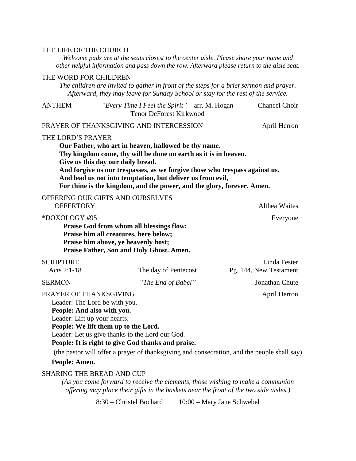# THE LIFE OF THE CHURCH *Welcome pads are at the seats closest to the center aisle. Please share your name and other helpful information and pass down the row. Afterward please return to the aisle seat.* THE WORD FOR CHILDREN *The children are invited to gather in front of the steps for a brief sermon and prayer. Afterward, they may leave for Sunday School or stay for the rest of the service.* ANTHEM *"Every Time I Feel the Spirit"* – arr. M. Hogan Chancel Choir Tenor DeForest Kirkwood PRAYER OF THANKSGIVING AND INTERCESSION April Herron THE LORD'S PRAYER **Our Father, who art in heaven, hallowed be thy name. Thy kingdom come, thy will be done on earth as it is in heaven. Give us this day our daily bread. And forgive us our trespasses, as we forgive those who trespass against us. And lead us not into temptation, but deliver us from evil, For thine is the kingdom, and the power, and the glory, forever. Amen.** OFFERING OUR GIFTS AND OURSELVES OFFERTORY Althea Waites \*DOXOLOGY #95 Everyone **Praise God from whom all blessings flow; Praise him all creatures, here below; Praise him above, ye heavenly host; Praise Father, Son and Holy Ghost. Amen.** SCRIPTURE Linda Fester Acts 2:1-18 The day of Pentecost Pg. 144, New Testament SERMON *"The End of Babel"* Jonathan Chute PRAYER OF THANKSGIVING April Herron Leader: The Lord be with you. **People: And also with you.** Leader: Lift up your hearts. **People: We lift them up to the Lord.** Leader: Let us give thanks to the Lord our God. **People: It is right to give God thanks and praise.** (the pastor will offer a prayer of thanksgiving and consecration, and the people shall say) **People: Amen.** SHARING THE BREAD AND CUP *(As you come forward to receive the elements, those wishing to make a communion offering may place their gifts in the baskets near the front of the two side aisles.)*

8:30 – Christel Bochard 10:00 – Mary Jane Schwebel